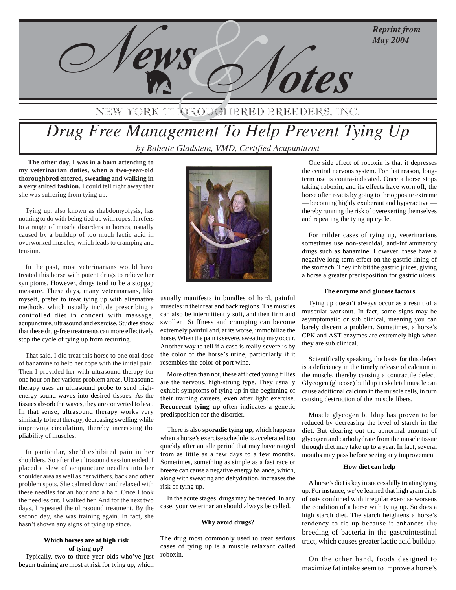**May 2004** 



## NEW YORK THOROUGHBRED BREEDE

# *Drug Free Management To Help Prevent Tying Up* by Babette Gladstein, VMD, Certified Acupunturist

 **The other day, I was in a barn attending to my veterinarian duties, when a two-year-old thoroughbred entered, sweating and walking in a very stilted fashion.** I could tell right away that she was suffering from tying up.

Tying up, also known as rhabdomyolysis, has nothing to do with being tied up with ropes. It refers to a range of muscle disorders in horses, usually caused by a buildup of too much lactic acid in overworked muscles, which leads to cramping and tension.

In the past, most veterinarians would have treated this horse with potent drugs to relieve her symptoms. However, drugs tend to be a stopgap measure. These days, many veterinarians, like myself, prefer to treat tying up with alternative methods, which usually include prescribing a controlled diet in concert with massage, acupuncture, ultrasound and exercise. Studies show that these drug-free treatments can more effectively stop the cycle of tying up from recurring.

That said, I did treat this horse to one oral dose of banamine to help her cope with the initial pain. Then I provided her with ultrasound therapy for one hour on her various problem areas. Ultrasound therapy uses an ultrasound probe to send highenergy sound waves into desired tissues. As the tissues absorb the waves, they are converted to heat. In that sense, ultrasound therapy works very similarly to heat therapy, decreasing swelling while improving circulation, thereby increasing the pliability of muscles.

In particular, she'd exhibited pain in her shoulders. So after the ultrasound session ended, I placed a slew of acupuncture needles into her shoulder area as well as her withers, back and other problem spots. She calmed down and relaxed with these needles for an hour and a half. Once I took the needles out, I walked her. And for the next two days, I repeated the ultrasound treatment. By the second day, she was training again. In fact, she hasn't shown any signs of tying up since.

## **Which horses are at high risk of tying up?**

Typically, two to three year olds who've just begun training are most at risk for tying up, which



usually manifests in bundles of hard, painful muscles in their rear and back regions. The muscles can also be intermittently soft, and then firm and swollen. Stiffness and cramping can become extremely painful and, at its worse, immobilize the horse. When the pain is severe, sweating may occur. Another way to tell if a case is really severe is by the color of the horse's urine, particularly if it resembles the color of port wine.

More often than not, these afflicted young fillies are the nervous, high-strung type. They usually exhibit symptoms of tying up in the beginning of their training careers, even after light exercise. **Recurrent tying up** often indicates a genetic predisposition for the disorder.

There is also **sporadic tying up**, which happens when a horse's exercise schedule is accelerated too quickly after an idle period that may have ranged from as little as a few days to a few months. Sometimes, something as simple as a fast race or breeze can cause a negative energy balance, which, along with sweating and dehydration, increases the risk of tying up.

In the acute stages, drugs may be needed. In any case, your veterinarian should always be called.

#### **Why avoid drugs?**

The drug most commonly used to treat serious cases of tying up is a muscle relaxant called roboxin.

One side effect of roboxin is that it depresses the central nervous system. For that reason, longterm use is contra-indicated. Once a horse stops taking roboxin, and its effects have worn off, the horse often reacts by going to the opposite extreme — becoming highly exuberant and hyperactive thereby running the risk of overexerting themselves and repeating the tying up cycle.

For milder cases of tying up, veterinarians sometimes use non-steroidal, anti-inflammatory drugs such as banamine. However, these have a negative long-term effect on the gastric lining of the stomach. They inhibit the gastric juices, giving a horse a greater predisposition for gastric ulcers.

## **The enzyme and glucose factors**

Tying up doesn't always occur as a result of a muscular workout. In fact, some signs may be asymptomatic or sub clinical, meaning you can barely discern a problem. Sometimes, a horse's CPK and AST enzymes are extremely high when they are sub clinical.

Scientifically speaking, the basis for this defect is a deficiency in the timely release of calcium in the muscle, thereby causing a contractile defect. Glycogen (glucose) buildup in skeletal muscle can cause additional calcium in the muscle cells, in turn causing destruction of the muscle fibers.

Muscle glycogen buildup has proven to be reduced by decreasing the level of starch in the diet. But clearing out the abnormal amount of glycogen and carbohydrate from the muscle tissue through diet may take up to a year. In fact, several months may pass before seeing any improvement.

#### **How diet can help**

A horse's diet is key in successfully treating tying up. For instance, we've learned that high grain diets of oats combined with irregular exercise worsens the condition of a horse with tying up. So does a high starch diet. The starch heightens a horse's tendency to tie up because it enhances the breeding of bacteria in the gastrointestinal tract, which causes greater lactic acid buildup.

On the other hand, foods designed to maximize fat intake seem to improve a horse's